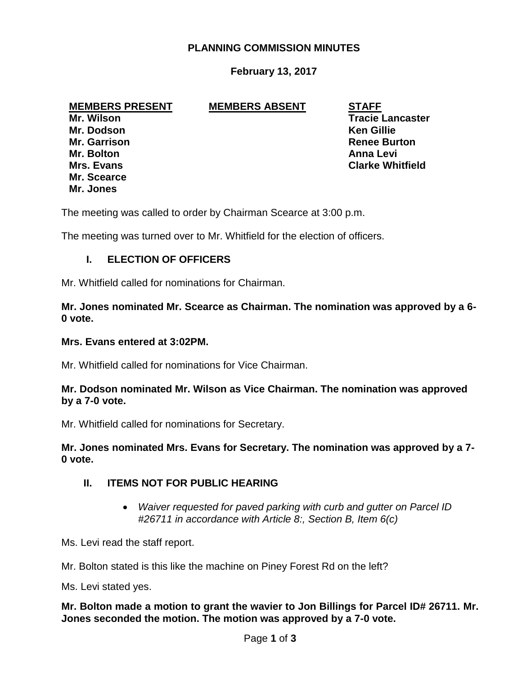## **PLANNING COMMISSION MINUTES**

## **February 13, 2017**

#### **MEMBERS PRESENT MEMBERS ABSENT STAFF**

**Mr. Dodson Ken Gillie Mr. Bolton Anna Levi Mr. Scearce Mr. Jones**

**Mr. Wilson Tracie Lancaster Mr. Garrison Renee Burton Mrs. Evans Clarke Whitfield**

The meeting was called to order by Chairman Scearce at 3:00 p.m.

The meeting was turned over to Mr. Whitfield for the election of officers.

## **I. ELECTION OF OFFICERS**

Mr. Whitfield called for nominations for Chairman.

**Mr. Jones nominated Mr. Scearce as Chairman. The nomination was approved by a 6- 0 vote.**

#### **Mrs. Evans entered at 3:02PM.**

Mr. Whitfield called for nominations for Vice Chairman.

### **Mr. Dodson nominated Mr. Wilson as Vice Chairman. The nomination was approved by a 7-0 vote.**

Mr. Whitfield called for nominations for Secretary.

**Mr. Jones nominated Mrs. Evans for Secretary. The nomination was approved by a 7- 0 vote.**

### **II. ITEMS NOT FOR PUBLIC HEARING**

 *Waiver requested for paved parking with curb and gutter on Parcel ID #26711 in accordance with Article 8:, Section B, Item 6(c)* 

Ms. Levi read the staff report.

Mr. Bolton stated is this like the machine on Piney Forest Rd on the left?

Ms. Levi stated yes.

**Mr. Bolton made a motion to grant the wavier to Jon Billings for Parcel ID# 26711. Mr. Jones seconded the motion. The motion was approved by a 7-0 vote.**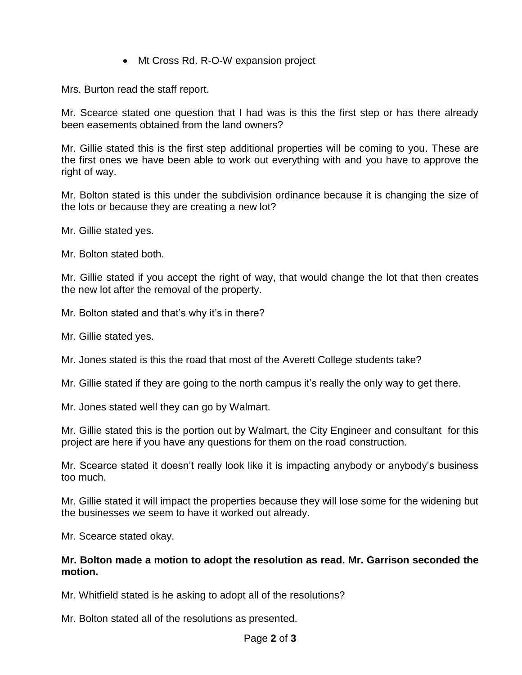• Mt Cross Rd. R-O-W expansion project

Mrs. Burton read the staff report.

Mr. Scearce stated one question that I had was is this the first step or has there already been easements obtained from the land owners?

Mr. Gillie stated this is the first step additional properties will be coming to you. These are the first ones we have been able to work out everything with and you have to approve the right of way.

Mr. Bolton stated is this under the subdivision ordinance because it is changing the size of the lots or because they are creating a new lot?

Mr. Gillie stated yes.

Mr. Bolton stated both.

Mr. Gillie stated if you accept the right of way, that would change the lot that then creates the new lot after the removal of the property.

Mr. Bolton stated and that's why it's in there?

Mr. Gillie stated yes.

Mr. Jones stated is this the road that most of the Averett College students take?

Mr. Gillie stated if they are going to the north campus it's really the only way to get there.

Mr. Jones stated well they can go by Walmart.

Mr. Gillie stated this is the portion out by Walmart, the City Engineer and consultant for this project are here if you have any questions for them on the road construction.

Mr. Scearce stated it doesn't really look like it is impacting anybody or anybody's business too much.

Mr. Gillie stated it will impact the properties because they will lose some for the widening but the businesses we seem to have it worked out already.

Mr. Scearce stated okay.

#### **Mr. Bolton made a motion to adopt the resolution as read. Mr. Garrison seconded the motion.**

Mr. Whitfield stated is he asking to adopt all of the resolutions?

Mr. Bolton stated all of the resolutions as presented.